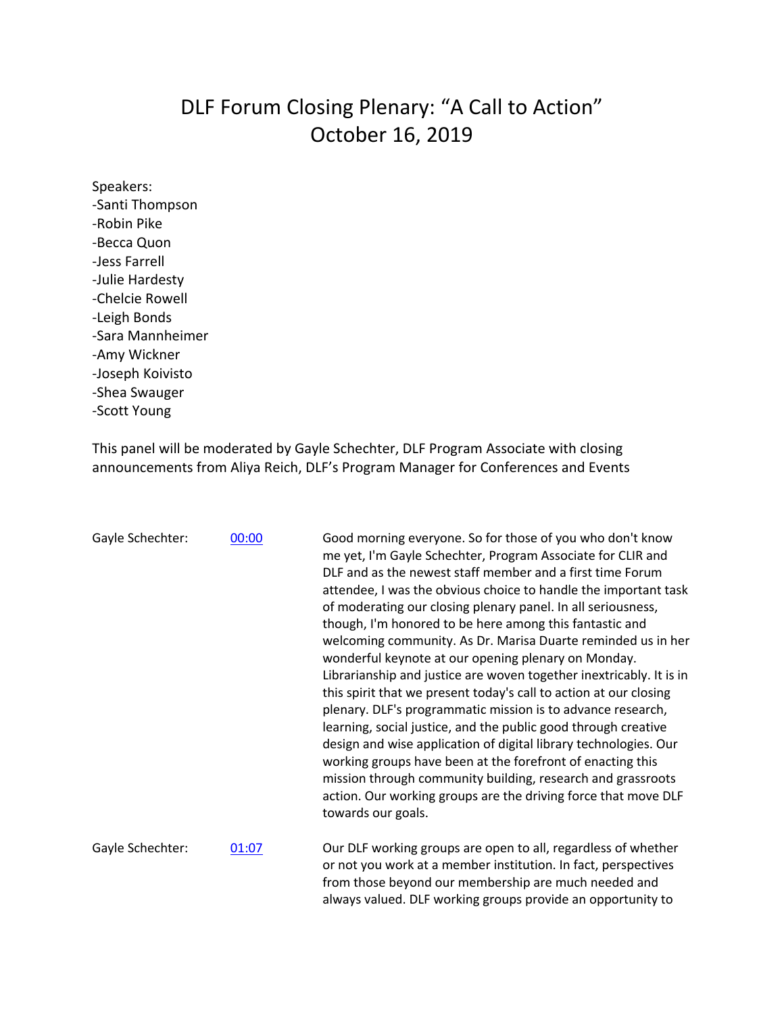## DLF Forum Closing Plenary: "A Call to Action" October 16, 2019

Speakers: -Santi Thompson -Robin Pike -Becca Quon -Jess Farrell -Julie Hardesty -Chelcie Rowell -Leigh Bonds -Sara Mannheimer -Amy Wickner -Joseph Koivisto -Shea Swauger -Scott Young

This panel will be moderated by Gayle Schechter, DLF Program Associate with closing announcements from Aliya Reich, DLF's Program Manager for Conferences and Events

| Gayle Schechter: | 00:00 | Good morning everyone. So for those of you who don't know<br>me yet, I'm Gayle Schechter, Program Associate for CLIR and<br>DLF and as the newest staff member and a first time Forum<br>attendee, I was the obvious choice to handle the important task<br>of moderating our closing plenary panel. In all seriousness,<br>though, I'm honored to be here among this fantastic and<br>welcoming community. As Dr. Marisa Duarte reminded us in her<br>wonderful keynote at our opening plenary on Monday.<br>Librarianship and justice are woven together inextricably. It is in<br>this spirit that we present today's call to action at our closing<br>plenary. DLF's programmatic mission is to advance research,<br>learning, social justice, and the public good through creative<br>design and wise application of digital library technologies. Our<br>working groups have been at the forefront of enacting this<br>mission through community building, research and grassroots<br>action. Our working groups are the driving force that move DLF<br>towards our goals. |
|------------------|-------|----------------------------------------------------------------------------------------------------------------------------------------------------------------------------------------------------------------------------------------------------------------------------------------------------------------------------------------------------------------------------------------------------------------------------------------------------------------------------------------------------------------------------------------------------------------------------------------------------------------------------------------------------------------------------------------------------------------------------------------------------------------------------------------------------------------------------------------------------------------------------------------------------------------------------------------------------------------------------------------------------------------------------------------------------------------------------------|
| Gayle Schechter: | 01:07 | Our DLF working groups are open to all, regardless of whether<br>or not you work at a member institution. In fact, perspectives<br>from those beyond our membership are much needed and<br>always valued. DLF working groups provide an opportunity to                                                                                                                                                                                                                                                                                                                                                                                                                                                                                                                                                                                                                                                                                                                                                                                                                           |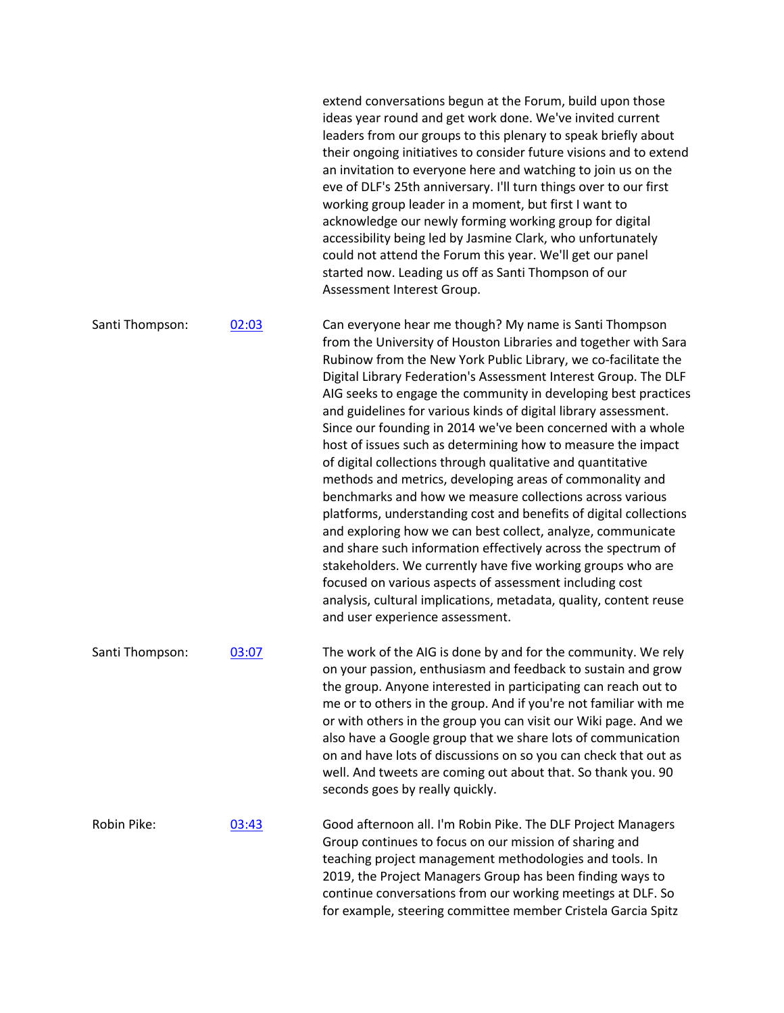|                 |       | extend conversations begun at the Forum, build upon those<br>ideas year round and get work done. We've invited current<br>leaders from our groups to this plenary to speak briefly about<br>their ongoing initiatives to consider future visions and to extend<br>an invitation to everyone here and watching to join us on the<br>eve of DLF's 25th anniversary. I'll turn things over to our first<br>working group leader in a moment, but first I want to<br>acknowledge our newly forming working group for digital<br>accessibility being led by Jasmine Clark, who unfortunately<br>could not attend the Forum this year. We'll get our panel<br>started now. Leading us off as Santi Thompson of our<br>Assessment Interest Group.                                                                                                                                                                                                                                                                                                                                                                                                                        |
|-----------------|-------|-------------------------------------------------------------------------------------------------------------------------------------------------------------------------------------------------------------------------------------------------------------------------------------------------------------------------------------------------------------------------------------------------------------------------------------------------------------------------------------------------------------------------------------------------------------------------------------------------------------------------------------------------------------------------------------------------------------------------------------------------------------------------------------------------------------------------------------------------------------------------------------------------------------------------------------------------------------------------------------------------------------------------------------------------------------------------------------------------------------------------------------------------------------------|
| Santi Thompson: | 02:03 | Can everyone hear me though? My name is Santi Thompson<br>from the University of Houston Libraries and together with Sara<br>Rubinow from the New York Public Library, we co-facilitate the<br>Digital Library Federation's Assessment Interest Group. The DLF<br>AIG seeks to engage the community in developing best practices<br>and guidelines for various kinds of digital library assessment.<br>Since our founding in 2014 we've been concerned with a whole<br>host of issues such as determining how to measure the impact<br>of digital collections through qualitative and quantitative<br>methods and metrics, developing areas of commonality and<br>benchmarks and how we measure collections across various<br>platforms, understanding cost and benefits of digital collections<br>and exploring how we can best collect, analyze, communicate<br>and share such information effectively across the spectrum of<br>stakeholders. We currently have five working groups who are<br>focused on various aspects of assessment including cost<br>analysis, cultural implications, metadata, quality, content reuse<br>and user experience assessment. |
| Santi Thompson: | 03:07 | The work of the AIG is done by and for the community. We rely<br>on your passion, enthusiasm and feedback to sustain and grow<br>the group. Anyone interested in participating can reach out to<br>me or to others in the group. And if you're not familiar with me<br>or with others in the group you can visit our Wiki page. And we<br>also have a Google group that we share lots of communication<br>on and have lots of discussions on so you can check that out as<br>well. And tweets are coming out about that. So thank you. 90<br>seconds goes by really quickly.                                                                                                                                                                                                                                                                                                                                                                                                                                                                                                                                                                                      |
| Robin Pike:     | 03:43 | Good afternoon all. I'm Robin Pike. The DLF Project Managers<br>Group continues to focus on our mission of sharing and<br>teaching project management methodologies and tools. In<br>2019, the Project Managers Group has been finding ways to<br>continue conversations from our working meetings at DLF. So<br>for example, steering committee member Cristela Garcia Spitz                                                                                                                                                                                                                                                                                                                                                                                                                                                                                                                                                                                                                                                                                                                                                                                     |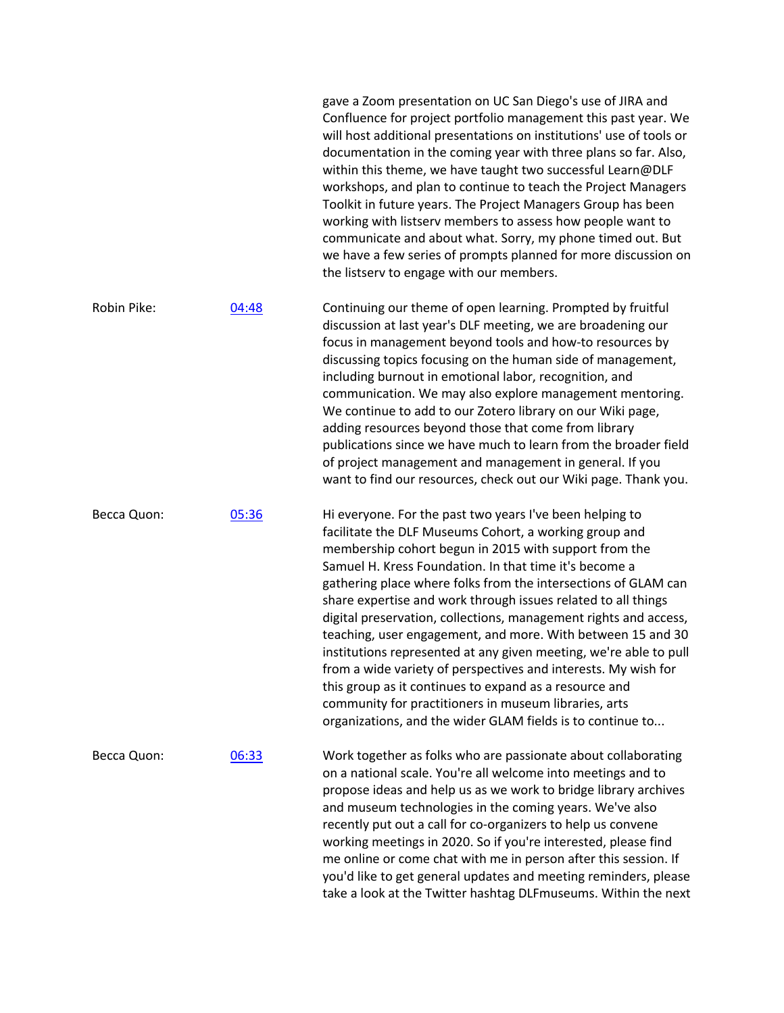|             |       | will host additional presentations on institutions' use of tools or<br>documentation in the coming year with three plans so far. Also,<br>within this theme, we have taught two successful Learn@DLF<br>workshops, and plan to continue to teach the Project Managers<br>Toolkit in future years. The Project Managers Group has been<br>working with listserv members to assess how people want to<br>communicate and about what. Sorry, my phone timed out. But<br>we have a few series of prompts planned for more discussion on<br>the listserv to engage with our members.                                                                                                                                                                                                                                                     |
|-------------|-------|-------------------------------------------------------------------------------------------------------------------------------------------------------------------------------------------------------------------------------------------------------------------------------------------------------------------------------------------------------------------------------------------------------------------------------------------------------------------------------------------------------------------------------------------------------------------------------------------------------------------------------------------------------------------------------------------------------------------------------------------------------------------------------------------------------------------------------------|
| Robin Pike: | 04:48 | Continuing our theme of open learning. Prompted by fruitful<br>discussion at last year's DLF meeting, we are broadening our<br>focus in management beyond tools and how-to resources by<br>discussing topics focusing on the human side of management,<br>including burnout in emotional labor, recognition, and<br>communication. We may also explore management mentoring.<br>We continue to add to our Zotero library on our Wiki page,<br>adding resources beyond those that come from library<br>publications since we have much to learn from the broader field<br>of project management and management in general. If you<br>want to find our resources, check out our Wiki page. Thank you.                                                                                                                                 |
| Becca Quon: | 05:36 | Hi everyone. For the past two years I've been helping to<br>facilitate the DLF Museums Cohort, a working group and<br>membership cohort begun in 2015 with support from the<br>Samuel H. Kress Foundation. In that time it's become a<br>gathering place where folks from the intersections of GLAM can<br>share expertise and work through issues related to all things<br>digital preservation, collections, management rights and access,<br>teaching, user engagement, and more. With between 15 and 30<br>institutions represented at any given meeting, we're able to pull<br>from a wide variety of perspectives and interests. My wish for<br>this group as it continues to expand as a resource and<br>community for practitioners in museum libraries, arts<br>organizations, and the wider GLAM fields is to continue to |
| Becca Quon: | 06:33 | Work together as folks who are passionate about collaborating<br>on a national scale. You're all welcome into meetings and to<br>propose ideas and help us as we work to bridge library archives<br>and museum technologies in the coming years. We've also<br>recently put out a call for co-organizers to help us convene<br>working meetings in 2020. So if you're interested, please find<br>me online or come chat with me in person after this session. If<br>you'd like to get general updates and meeting reminders, please<br>take a look at the Twitter hashtag DLFmuseums. Within the next                                                                                                                                                                                                                               |

gave a Zoom presentation on UC San Diego's use of JIRA and Confluence for project portfolio management this past year. We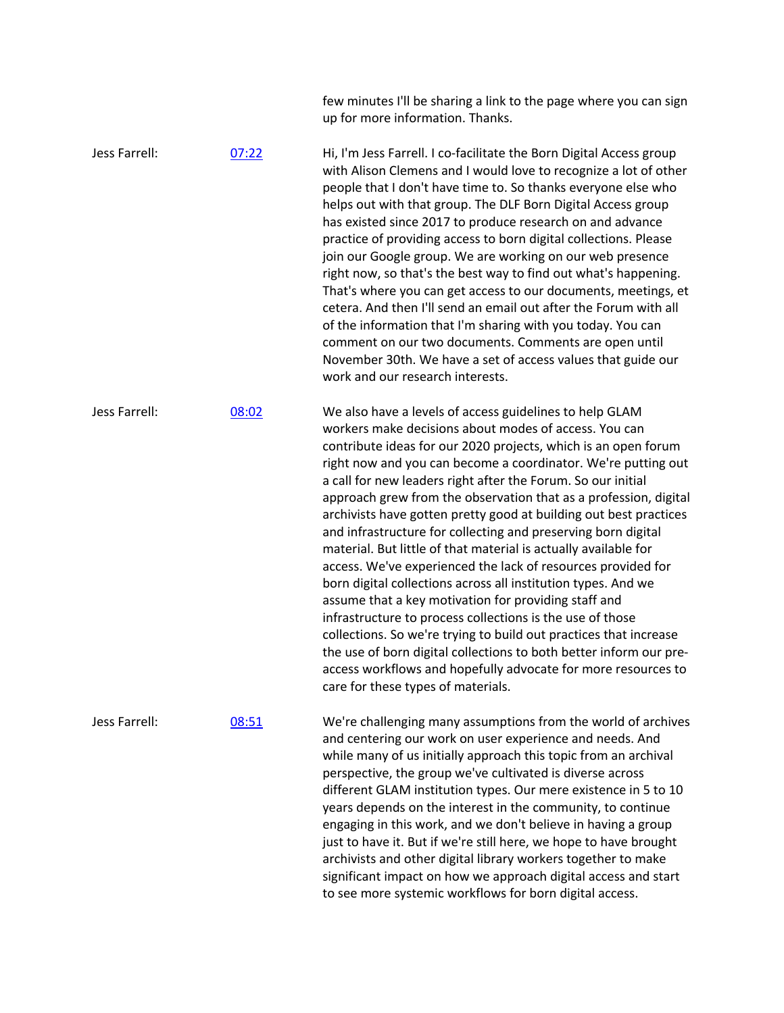few minutes I'll be sharing a link to the page where you can sign up for more information. Thanks.

Jess Farrell: 07:22 Hi, I'm Jess Farrell. I co-facilitate the Born Digital Access group with Alison Clemens and I would love to recognize a lot of other people that I don't have time to. So thanks everyone else who helps out with that group. The DLF Born Digital Access group has existed since 2017 to produce research on and advance practice of providing access to born digital collections. Please join our Google group. We are working on our web presence right now, so that's the best way to find out what's happening. That's where you can get access to our documents, meetings, et cetera. And then I'll send an email out after the Forum with all of the information that I'm sharing with you today. You can comment on our two documents. Comments are open until November 30th. We have a set of access values that guide our work and our research interests. Jess Farrell: 08:02 We also have a levels of access guidelines to help GLAM workers make decisions about modes of access. You can contribute ideas for our 2020 projects, which is an open forum right now and you can become a coordinator. We're putting out a call for new leaders right after the Forum. So our initial approach grew from the observation that as a profession, digital archivists have gotten pretty good at building out best practices and infrastructure for collecting and preserving born digital material. But little of that material is actually available for access. We've experienced the lack of resources provided for born digital collections across all institution types. And we assume that a key motivation for providing staff and infrastructure to process collections is the use of those collections. So we're trying to build out practices that increase the use of born digital collections to both better inform our preaccess workflows and hopefully advocate for more resources to care for these types of materials. Jess Farrell: 08:51 We're challenging many assumptions from the world of archives and centering our work on user experience and needs. And while many of us initially approach this topic from an archival

perspective, the group we've cultivated is diverse across different GLAM institution types. Our mere existence in 5 to 10 years depends on the interest in the community, to continue engaging in this work, and we don't believe in having a group just to have it. But if we're still here, we hope to have brought archivists and other digital library workers together to make significant impact on how we approach digital access and start to see more systemic workflows for born digital access.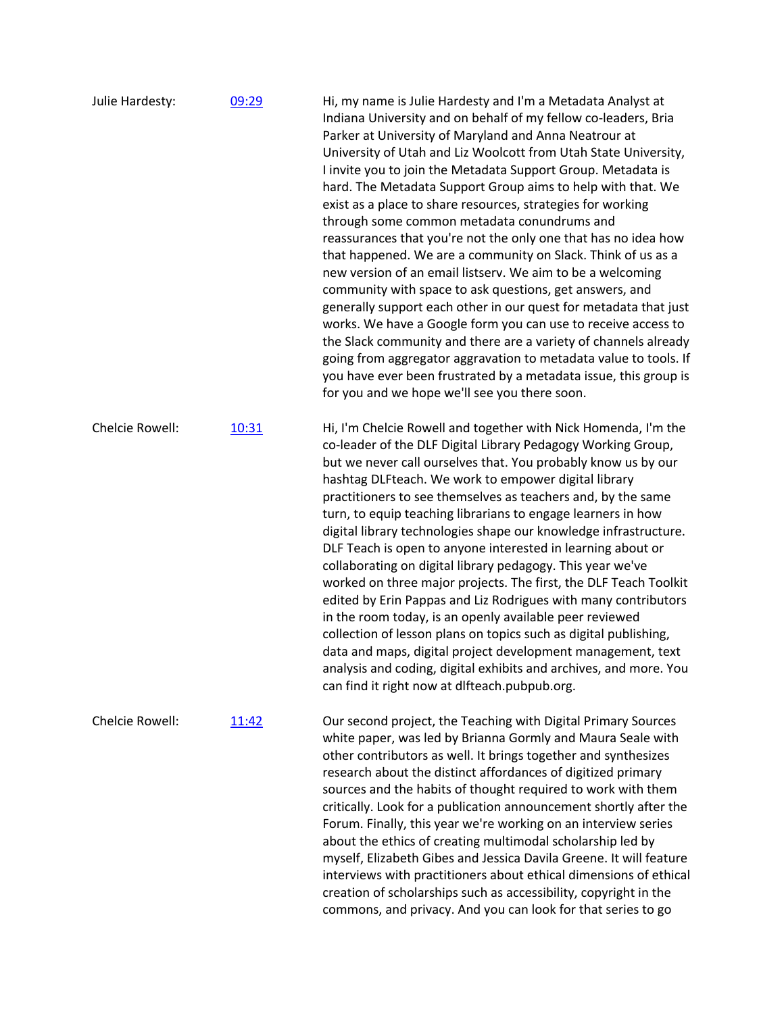| Julie Hardesty: | 09:29 | Hi, my name is Julie Hardesty and I'm a Metadata Analyst at<br>Indiana University and on behalf of my fellow co-leaders, Bria<br>Parker at University of Maryland and Anna Neatrour at<br>University of Utah and Liz Woolcott from Utah State University,<br>I invite you to join the Metadata Support Group. Metadata is<br>hard. The Metadata Support Group aims to help with that. We<br>exist as a place to share resources, strategies for working<br>through some common metadata conundrums and<br>reassurances that you're not the only one that has no idea how<br>that happened. We are a community on Slack. Think of us as a<br>new version of an email listserv. We aim to be a welcoming<br>community with space to ask questions, get answers, and<br>generally support each other in our quest for metadata that just<br>works. We have a Google form you can use to receive access to<br>the Slack community and there are a variety of channels already<br>going from aggregator aggravation to metadata value to tools. If<br>you have ever been frustrated by a metadata issue, this group is<br>for you and we hope we'll see you there soon. |
|-----------------|-------|--------------------------------------------------------------------------------------------------------------------------------------------------------------------------------------------------------------------------------------------------------------------------------------------------------------------------------------------------------------------------------------------------------------------------------------------------------------------------------------------------------------------------------------------------------------------------------------------------------------------------------------------------------------------------------------------------------------------------------------------------------------------------------------------------------------------------------------------------------------------------------------------------------------------------------------------------------------------------------------------------------------------------------------------------------------------------------------------------------------------------------------------------------------------|
| Chelcie Rowell: | 10:31 | Hi, I'm Chelcie Rowell and together with Nick Homenda, I'm the<br>co-leader of the DLF Digital Library Pedagogy Working Group,<br>but we never call ourselves that. You probably know us by our<br>hashtag DLFteach. We work to empower digital library<br>practitioners to see themselves as teachers and, by the same<br>turn, to equip teaching librarians to engage learners in how<br>digital library technologies shape our knowledge infrastructure.<br>DLF Teach is open to anyone interested in learning about or<br>collaborating on digital library pedagogy. This year we've<br>worked on three major projects. The first, the DLF Teach Toolkit<br>edited by Erin Pappas and Liz Rodrigues with many contributors<br>in the room today, is an openly available peer reviewed<br>collection of lesson plans on topics such as digital publishing,<br>data and maps, digital project development management, text<br>analysis and coding, digital exhibits and archives, and more. You<br>can find it right now at dlfteach.pubpub.org.                                                                                                                 |
| Chelcie Rowell: | 11:42 | Our second project, the Teaching with Digital Primary Sources<br>white paper, was led by Brianna Gormly and Maura Seale with<br>other contributors as well. It brings together and synthesizes<br>research about the distinct affordances of digitized primary<br>sources and the habits of thought required to work with them<br>critically. Look for a publication announcement shortly after the<br>Forum. Finally, this year we're working on an interview series<br>about the ethics of creating multimodal scholarship led by<br>myself, Elizabeth Gibes and Jessica Davila Greene. It will feature<br>interviews with practitioners about ethical dimensions of ethical<br>creation of scholarships such as accessibility, copyright in the<br>commons, and privacy. And you can look for that series to go                                                                                                                                                                                                                                                                                                                                                 |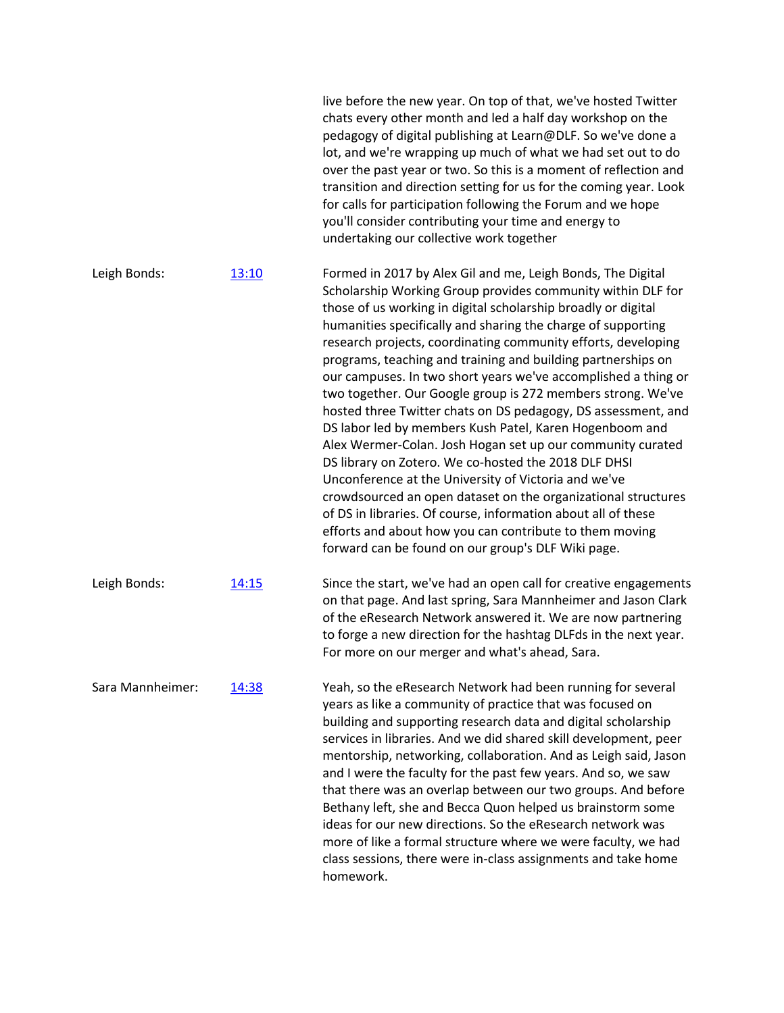|                  |       | live before the new year. On top of that, we've hosted Twitter<br>chats every other month and led a half day workshop on the<br>pedagogy of digital publishing at Learn@DLF. So we've done a<br>lot, and we're wrapping up much of what we had set out to do<br>over the past year or two. So this is a moment of reflection and<br>transition and direction setting for us for the coming year. Look<br>for calls for participation following the Forum and we hope<br>you'll consider contributing your time and energy to<br>undertaking our collective work together                                                                                                                                                                                                                                                                                                                                                                                                                                                                                                                   |
|------------------|-------|--------------------------------------------------------------------------------------------------------------------------------------------------------------------------------------------------------------------------------------------------------------------------------------------------------------------------------------------------------------------------------------------------------------------------------------------------------------------------------------------------------------------------------------------------------------------------------------------------------------------------------------------------------------------------------------------------------------------------------------------------------------------------------------------------------------------------------------------------------------------------------------------------------------------------------------------------------------------------------------------------------------------------------------------------------------------------------------------|
| Leigh Bonds:     | 13:10 | Formed in 2017 by Alex Gil and me, Leigh Bonds, The Digital<br>Scholarship Working Group provides community within DLF for<br>those of us working in digital scholarship broadly or digital<br>humanities specifically and sharing the charge of supporting<br>research projects, coordinating community efforts, developing<br>programs, teaching and training and building partnerships on<br>our campuses. In two short years we've accomplished a thing or<br>two together. Our Google group is 272 members strong. We've<br>hosted three Twitter chats on DS pedagogy, DS assessment, and<br>DS labor led by members Kush Patel, Karen Hogenboom and<br>Alex Wermer-Colan. Josh Hogan set up our community curated<br>DS library on Zotero. We co-hosted the 2018 DLF DHSI<br>Unconference at the University of Victoria and we've<br>crowdsourced an open dataset on the organizational structures<br>of DS in libraries. Of course, information about all of these<br>efforts and about how you can contribute to them moving<br>forward can be found on our group's DLF Wiki page. |
| Leigh Bonds:     | 14:15 | Since the start, we've had an open call for creative engagements<br>on that page. And last spring, Sara Mannheimer and Jason Clark<br>of the eResearch Network answered it. We are now partnering<br>to forge a new direction for the hashtag DLFds in the next year.<br>For more on our merger and what's ahead, Sara.                                                                                                                                                                                                                                                                                                                                                                                                                                                                                                                                                                                                                                                                                                                                                                    |
| Sara Mannheimer: | 14:38 | Yeah, so the eResearch Network had been running for several<br>years as like a community of practice that was focused on<br>building and supporting research data and digital scholarship<br>services in libraries. And we did shared skill development, peer<br>mentorship, networking, collaboration. And as Leigh said, Jason<br>and I were the faculty for the past few years. And so, we saw<br>that there was an overlap between our two groups. And before<br>Bethany left, she and Becca Quon helped us brainstorm some<br>ideas for our new directions. So the eResearch network was<br>more of like a formal structure where we were faculty, we had<br>class sessions, there were in-class assignments and take home<br>homework.                                                                                                                                                                                                                                                                                                                                               |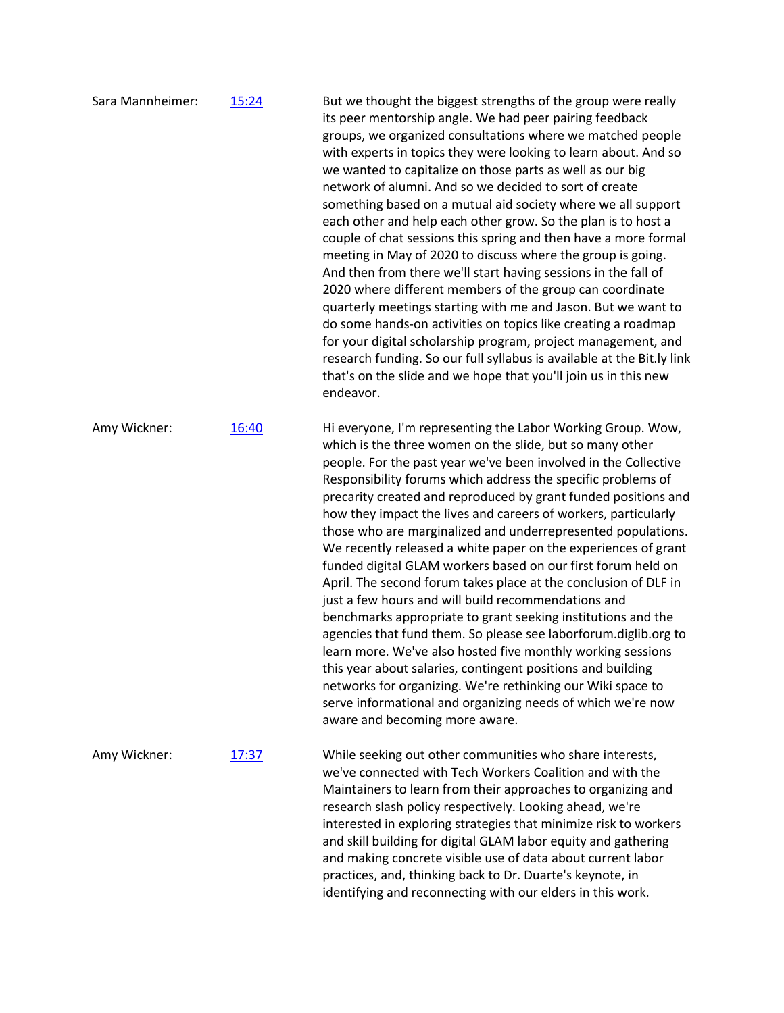| Sara Mannheimer: | 15:24 | But we thought the biggest strengths of the group were really<br>its peer mentorship angle. We had peer pairing feedback<br>groups, we organized consultations where we matched people<br>with experts in topics they were looking to learn about. And so<br>we wanted to capitalize on those parts as well as our big<br>network of alumni. And so we decided to sort of create<br>something based on a mutual aid society where we all support<br>each other and help each other grow. So the plan is to host a<br>couple of chat sessions this spring and then have a more formal<br>meeting in May of 2020 to discuss where the group is going.<br>And then from there we'll start having sessions in the fall of<br>2020 where different members of the group can coordinate<br>quarterly meetings starting with me and Jason. But we want to<br>do some hands-on activities on topics like creating a roadmap<br>for your digital scholarship program, project management, and<br>research funding. So our full syllabus is available at the Bit.ly link<br>that's on the slide and we hope that you'll join us in this new<br>endeavor.              |
|------------------|-------|-------------------------------------------------------------------------------------------------------------------------------------------------------------------------------------------------------------------------------------------------------------------------------------------------------------------------------------------------------------------------------------------------------------------------------------------------------------------------------------------------------------------------------------------------------------------------------------------------------------------------------------------------------------------------------------------------------------------------------------------------------------------------------------------------------------------------------------------------------------------------------------------------------------------------------------------------------------------------------------------------------------------------------------------------------------------------------------------------------------------------------------------------------------|
| Amy Wickner:     | 16:40 | Hi everyone, I'm representing the Labor Working Group. Wow,<br>which is the three women on the slide, but so many other<br>people. For the past year we've been involved in the Collective<br>Responsibility forums which address the specific problems of<br>precarity created and reproduced by grant funded positions and<br>how they impact the lives and careers of workers, particularly<br>those who are marginalized and underrepresented populations.<br>We recently released a white paper on the experiences of grant<br>funded digital GLAM workers based on our first forum held on<br>April. The second forum takes place at the conclusion of DLF in<br>just a few hours and will build recommendations and<br>benchmarks appropriate to grant seeking institutions and the<br>agencies that fund them. So please see laborforum.diglib.org to<br>learn more. We've also hosted five monthly working sessions<br>this year about salaries, contingent positions and building<br>networks for organizing. We're rethinking our Wiki space to<br>serve informational and organizing needs of which we're now<br>aware and becoming more aware. |
| Amy Wickner:     | 17:37 | While seeking out other communities who share interests,<br>we've connected with Tech Workers Coalition and with the<br>Maintainers to learn from their approaches to organizing and<br>research slash policy respectively. Looking ahead, we're<br>interested in exploring strategies that minimize risk to workers<br>and skill building for digital GLAM labor equity and gathering<br>and making concrete visible use of data about current labor<br>practices, and, thinking back to Dr. Duarte's keynote, in<br>identifying and reconnecting with our elders in this work.                                                                                                                                                                                                                                                                                                                                                                                                                                                                                                                                                                            |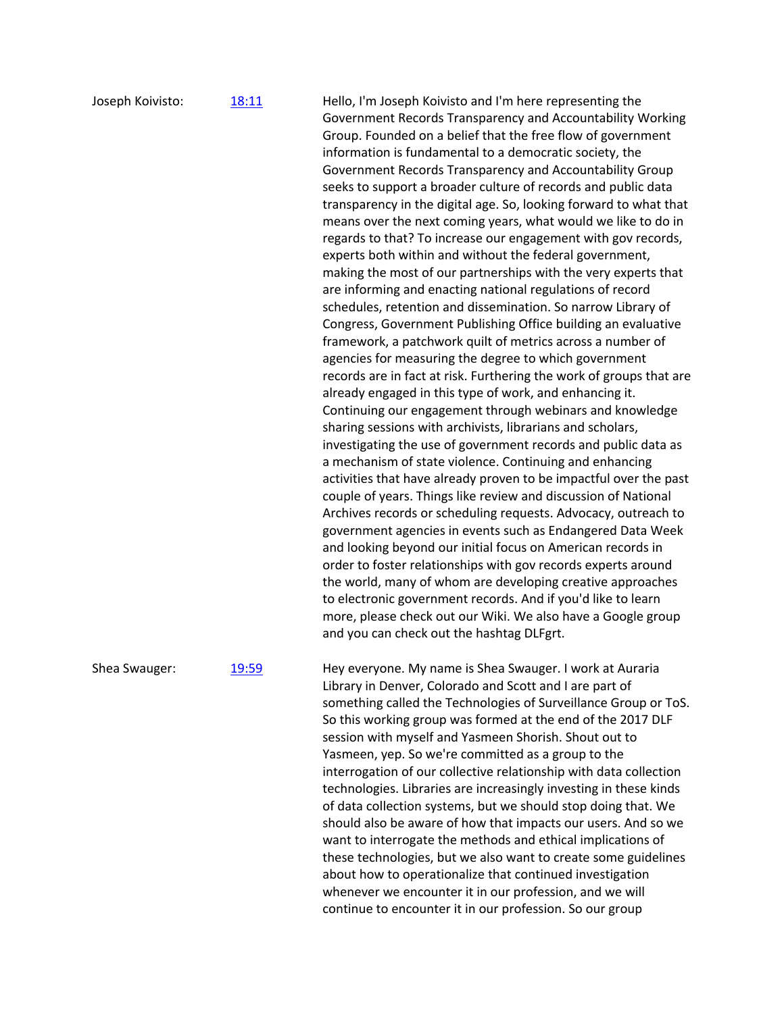| Joseph Koivisto: | 18:11        | Hello, I'm Joseph Koivisto and I'm here representing the<br>Government Records Transparency and Accountability Working<br>Group. Founded on a belief that the free flow of government<br>information is fundamental to a democratic society, the<br>Government Records Transparency and Accountability Group<br>seeks to support a broader culture of records and public data<br>transparency in the digital age. So, looking forward to what that<br>means over the next coming years, what would we like to do in<br>regards to that? To increase our engagement with gov records,<br>experts both within and without the federal government,<br>making the most of our partnerships with the very experts that<br>are informing and enacting national regulations of record<br>schedules, retention and dissemination. So narrow Library of<br>Congress, Government Publishing Office building an evaluative<br>framework, a patchwork quilt of metrics across a number of<br>agencies for measuring the degree to which government<br>records are in fact at risk. Furthering the work of groups that are<br>already engaged in this type of work, and enhancing it.<br>Continuing our engagement through webinars and knowledge<br>sharing sessions with archivists, librarians and scholars,<br>investigating the use of government records and public data as<br>a mechanism of state violence. Continuing and enhancing<br>activities that have already proven to be impactful over the past<br>couple of years. Things like review and discussion of National<br>Archives records or scheduling requests. Advocacy, outreach to<br>government agencies in events such as Endangered Data Week<br>and looking beyond our initial focus on American records in<br>order to foster relationships with gov records experts around<br>the world, many of whom are developing creative approaches<br>to electronic government records. And if you'd like to learn<br>more, please check out our Wiki. We also have a Google group<br>and you can check out the hashtag DLFgrt. |
|------------------|--------------|-----------------------------------------------------------------------------------------------------------------------------------------------------------------------------------------------------------------------------------------------------------------------------------------------------------------------------------------------------------------------------------------------------------------------------------------------------------------------------------------------------------------------------------------------------------------------------------------------------------------------------------------------------------------------------------------------------------------------------------------------------------------------------------------------------------------------------------------------------------------------------------------------------------------------------------------------------------------------------------------------------------------------------------------------------------------------------------------------------------------------------------------------------------------------------------------------------------------------------------------------------------------------------------------------------------------------------------------------------------------------------------------------------------------------------------------------------------------------------------------------------------------------------------------------------------------------------------------------------------------------------------------------------------------------------------------------------------------------------------------------------------------------------------------------------------------------------------------------------------------------------------------------------------------------------------------------------------------------------------------------------------------------------------------------------------------------------------|
| Shea Swauger:    | <u>19:59</u> | Hey everyone. My name is Shea Swauger. I work at Auraria<br>Library in Denver, Colorado and Scott and I are part of<br>something called the Technologies of Surveillance Group or ToS.<br>So this working group was formed at the end of the 2017 DLF<br>session with myself and Yasmeen Shorish. Shout out to<br>Yasmeen, yep. So we're committed as a group to the<br>interrogation of our collective relationship with data collection<br>technologies. Libraries are increasingly investing in these kinds<br>of data collection systems, but we should stop doing that. We<br>should also be aware of how that impacts our users. And so we<br>want to interrogate the methods and ethical implications of<br>these technologies, but we also want to create some guidelines<br>about how to operationalize that continued investigation                                                                                                                                                                                                                                                                                                                                                                                                                                                                                                                                                                                                                                                                                                                                                                                                                                                                                                                                                                                                                                                                                                                                                                                                                                     |

whenever we encounter it in our profession, and we will continue to encounter it in our profession. So our group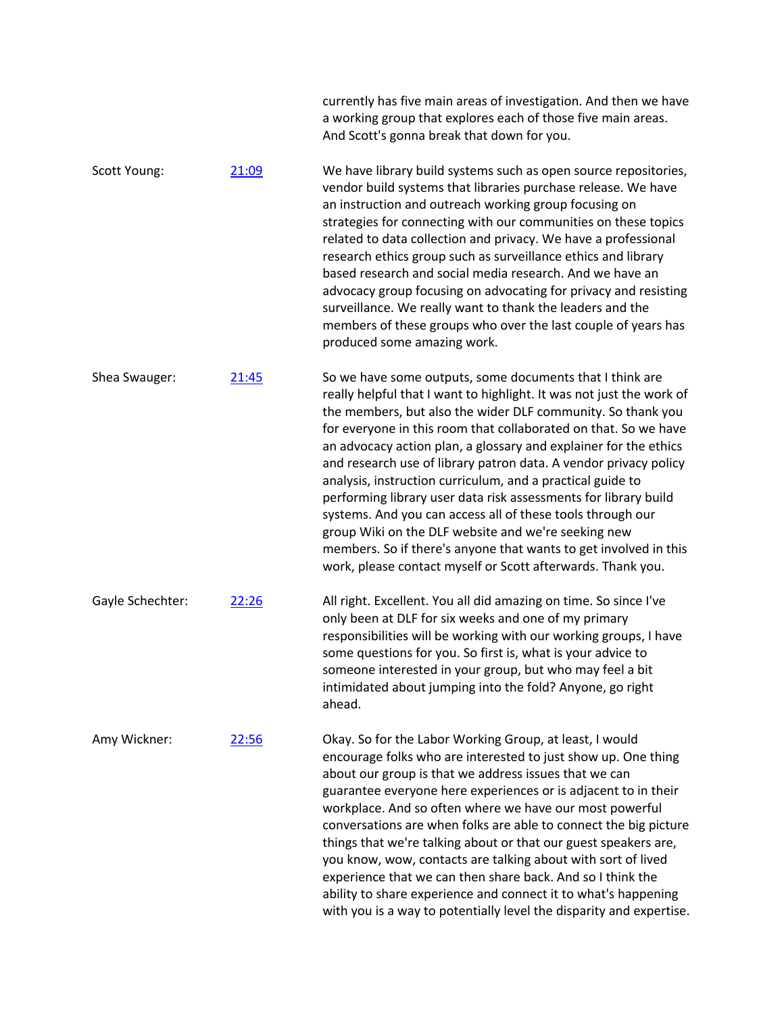|                  |       | currently has five main areas of investigation. And then we have<br>a working group that explores each of those five main areas.<br>And Scott's gonna break that down for you.                                                                                                                                                                                                                                                                                                                                                                                                                                                                                                                                                                                                                      |
|------------------|-------|-----------------------------------------------------------------------------------------------------------------------------------------------------------------------------------------------------------------------------------------------------------------------------------------------------------------------------------------------------------------------------------------------------------------------------------------------------------------------------------------------------------------------------------------------------------------------------------------------------------------------------------------------------------------------------------------------------------------------------------------------------------------------------------------------------|
| Scott Young:     | 21:09 | We have library build systems such as open source repositories,<br>vendor build systems that libraries purchase release. We have<br>an instruction and outreach working group focusing on<br>strategies for connecting with our communities on these topics<br>related to data collection and privacy. We have a professional<br>research ethics group such as surveillance ethics and library<br>based research and social media research. And we have an<br>advocacy group focusing on advocating for privacy and resisting<br>surveillance. We really want to thank the leaders and the<br>members of these groups who over the last couple of years has<br>produced some amazing work.                                                                                                          |
| Shea Swauger:    | 21:45 | So we have some outputs, some documents that I think are<br>really helpful that I want to highlight. It was not just the work of<br>the members, but also the wider DLF community. So thank you<br>for everyone in this room that collaborated on that. So we have<br>an advocacy action plan, a glossary and explainer for the ethics<br>and research use of library patron data. A vendor privacy policy<br>analysis, instruction curriculum, and a practical guide to<br>performing library user data risk assessments for library build<br>systems. And you can access all of these tools through our<br>group Wiki on the DLF website and we're seeking new<br>members. So if there's anyone that wants to get involved in this<br>work, please contact myself or Scott afterwards. Thank you. |
| Gayle Schechter: | 22:26 | All right. Excellent. You all did amazing on time. So since I've<br>only been at DLF for six weeks and one of my primary<br>responsibilities will be working with our working groups, I have<br>some questions for you. So first is, what is your advice to<br>someone interested in your group, but who may feel a bit<br>intimidated about jumping into the fold? Anyone, go right<br>ahead.                                                                                                                                                                                                                                                                                                                                                                                                      |
| Amy Wickner:     | 22:56 | Okay. So for the Labor Working Group, at least, I would<br>encourage folks who are interested to just show up. One thing<br>about our group is that we address issues that we can<br>guarantee everyone here experiences or is adjacent to in their<br>workplace. And so often where we have our most powerful<br>conversations are when folks are able to connect the big picture<br>things that we're talking about or that our guest speakers are,<br>you know, wow, contacts are talking about with sort of lived<br>experience that we can then share back. And so I think the<br>ability to share experience and connect it to what's happening<br>with you is a way to potentially level the disparity and expertise.                                                                        |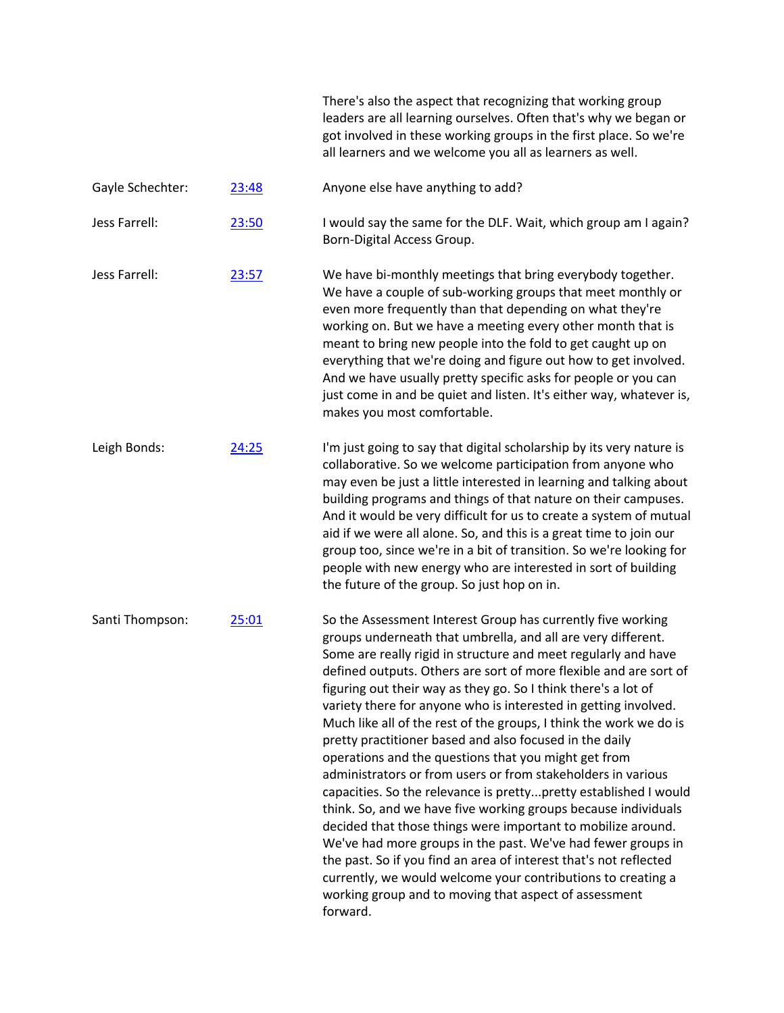|                  |       | There's also the aspect that recognizing that working group<br>leaders are all learning ourselves. Often that's why we began or<br>got involved in these working groups in the first place. So we're<br>all learners and we welcome you all as learners as well.                                                                                                                                                                                                                                                                                                                                                                                                                                                                                                                                                                                                                                                                                                                                                                                                                                                                                 |
|------------------|-------|--------------------------------------------------------------------------------------------------------------------------------------------------------------------------------------------------------------------------------------------------------------------------------------------------------------------------------------------------------------------------------------------------------------------------------------------------------------------------------------------------------------------------------------------------------------------------------------------------------------------------------------------------------------------------------------------------------------------------------------------------------------------------------------------------------------------------------------------------------------------------------------------------------------------------------------------------------------------------------------------------------------------------------------------------------------------------------------------------------------------------------------------------|
| Gayle Schechter: | 23:48 | Anyone else have anything to add?                                                                                                                                                                                                                                                                                                                                                                                                                                                                                                                                                                                                                                                                                                                                                                                                                                                                                                                                                                                                                                                                                                                |
| Jess Farrell:    | 23:50 | I would say the same for the DLF. Wait, which group am I again?<br>Born-Digital Access Group.                                                                                                                                                                                                                                                                                                                                                                                                                                                                                                                                                                                                                                                                                                                                                                                                                                                                                                                                                                                                                                                    |
| Jess Farrell:    | 23:57 | We have bi-monthly meetings that bring everybody together.<br>We have a couple of sub-working groups that meet monthly or<br>even more frequently than that depending on what they're<br>working on. But we have a meeting every other month that is<br>meant to bring new people into the fold to get caught up on<br>everything that we're doing and figure out how to get involved.<br>And we have usually pretty specific asks for people or you can<br>just come in and be quiet and listen. It's either way, whatever is,<br>makes you most comfortable.                                                                                                                                                                                                                                                                                                                                                                                                                                                                                                                                                                                   |
| Leigh Bonds:     | 24:25 | I'm just going to say that digital scholarship by its very nature is<br>collaborative. So we welcome participation from anyone who<br>may even be just a little interested in learning and talking about<br>building programs and things of that nature on their campuses.<br>And it would be very difficult for us to create a system of mutual<br>aid if we were all alone. So, and this is a great time to join our<br>group too, since we're in a bit of transition. So we're looking for<br>people with new energy who are interested in sort of building<br>the future of the group. So just hop on in.                                                                                                                                                                                                                                                                                                                                                                                                                                                                                                                                    |
| Santi Thompson:  | 25:01 | So the Assessment Interest Group has currently five working<br>groups underneath that umbrella, and all are very different.<br>Some are really rigid in structure and meet regularly and have<br>defined outputs. Others are sort of more flexible and are sort of<br>figuring out their way as they go. So I think there's a lot of<br>variety there for anyone who is interested in getting involved.<br>Much like all of the rest of the groups, I think the work we do is<br>pretty practitioner based and also focused in the daily<br>operations and the questions that you might get from<br>administrators or from users or from stakeholders in various<br>capacities. So the relevance is prettypretty established I would<br>think. So, and we have five working groups because individuals<br>decided that those things were important to mobilize around.<br>We've had more groups in the past. We've had fewer groups in<br>the past. So if you find an area of interest that's not reflected<br>currently, we would welcome your contributions to creating a<br>working group and to moving that aspect of assessment<br>forward. |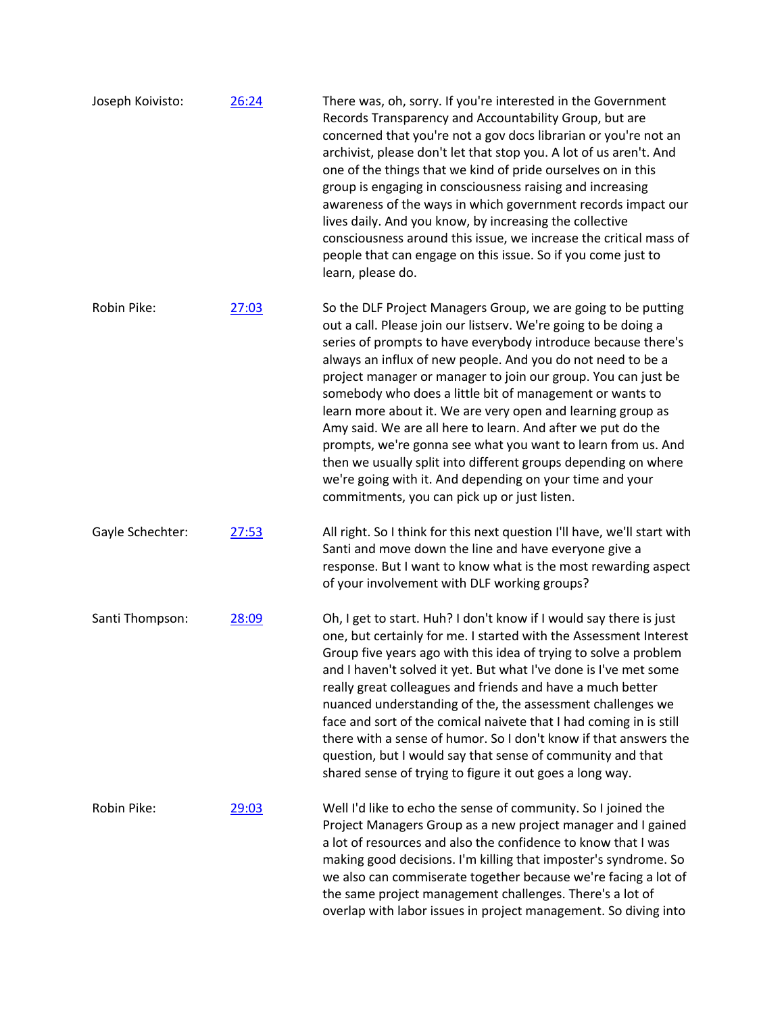| Joseph Koivisto: | 26:24 | There was, oh, sorry. If you're interested in the Government<br>Records Transparency and Accountability Group, but are<br>concerned that you're not a gov docs librarian or you're not an<br>archivist, please don't let that stop you. A lot of us aren't. And<br>one of the things that we kind of pride ourselves on in this<br>group is engaging in consciousness raising and increasing<br>awareness of the ways in which government records impact our<br>lives daily. And you know, by increasing the collective<br>consciousness around this issue, we increase the critical mass of<br>people that can engage on this issue. So if you come just to<br>learn, please do.                                                                                         |
|------------------|-------|---------------------------------------------------------------------------------------------------------------------------------------------------------------------------------------------------------------------------------------------------------------------------------------------------------------------------------------------------------------------------------------------------------------------------------------------------------------------------------------------------------------------------------------------------------------------------------------------------------------------------------------------------------------------------------------------------------------------------------------------------------------------------|
| Robin Pike:      | 27:03 | So the DLF Project Managers Group, we are going to be putting<br>out a call. Please join our listserv. We're going to be doing a<br>series of prompts to have everybody introduce because there's<br>always an influx of new people. And you do not need to be a<br>project manager or manager to join our group. You can just be<br>somebody who does a little bit of management or wants to<br>learn more about it. We are very open and learning group as<br>Amy said. We are all here to learn. And after we put do the<br>prompts, we're gonna see what you want to learn from us. And<br>then we usually split into different groups depending on where<br>we're going with it. And depending on your time and your<br>commitments, you can pick up or just listen. |
| Gayle Schechter: | 27:53 | All right. So I think for this next question I'll have, we'll start with<br>Santi and move down the line and have everyone give a<br>response. But I want to know what is the most rewarding aspect<br>of your involvement with DLF working groups?                                                                                                                                                                                                                                                                                                                                                                                                                                                                                                                       |
| Santi Thompson:  | 28:09 | Oh, I get to start. Huh? I don't know if I would say there is just<br>one, but certainly for me. I started with the Assessment Interest<br>Group five years ago with this idea of trying to solve a problem<br>and I haven't solved it yet. But what I've done is I've met some<br>really great colleagues and friends and have a much better<br>nuanced understanding of the, the assessment challenges we<br>face and sort of the comical naivete that I had coming in is still<br>there with a sense of humor. So I don't know if that answers the<br>question, but I would say that sense of community and that<br>shared sense of trying to figure it out goes a long way.                                                                                           |
| Robin Pike:      | 29:03 | Well I'd like to echo the sense of community. So I joined the<br>Project Managers Group as a new project manager and I gained<br>a lot of resources and also the confidence to know that I was<br>making good decisions. I'm killing that imposter's syndrome. So<br>we also can commiserate together because we're facing a lot of<br>the same project management challenges. There's a lot of<br>overlap with labor issues in project management. So diving into                                                                                                                                                                                                                                                                                                        |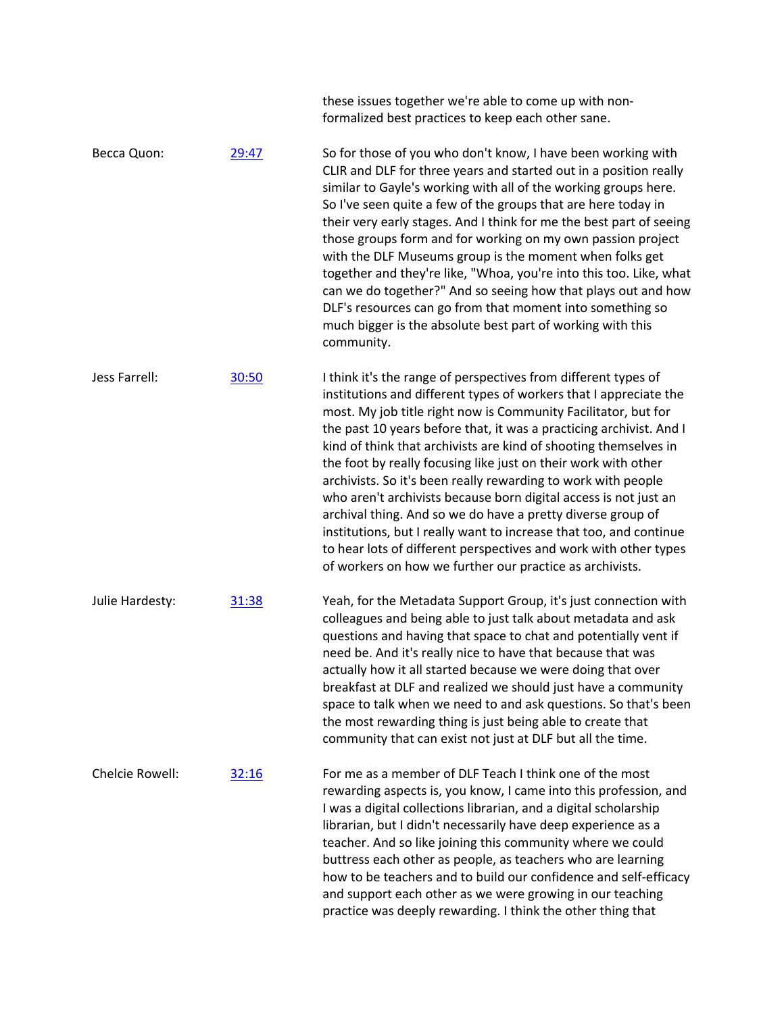|                 |       | these issues together we're able to come up with non-<br>formalized best practices to keep each other sane.                                                                                                                                                                                                                                                                                                                                                                                                                                                                                                                                                                                                                                                                                                                  |
|-----------------|-------|------------------------------------------------------------------------------------------------------------------------------------------------------------------------------------------------------------------------------------------------------------------------------------------------------------------------------------------------------------------------------------------------------------------------------------------------------------------------------------------------------------------------------------------------------------------------------------------------------------------------------------------------------------------------------------------------------------------------------------------------------------------------------------------------------------------------------|
| Becca Quon:     | 29:47 | So for those of you who don't know, I have been working with<br>CLIR and DLF for three years and started out in a position really<br>similar to Gayle's working with all of the working groups here.<br>So I've seen quite a few of the groups that are here today in<br>their very early stages. And I think for me the best part of seeing<br>those groups form and for working on my own passion project<br>with the DLF Museums group is the moment when folks get<br>together and they're like, "Whoa, you're into this too. Like, what<br>can we do together?" And so seeing how that plays out and how<br>DLF's resources can go from that moment into something so<br>much bigger is the absolute best part of working with this<br>community.                                                                       |
| Jess Farrell:   | 30:50 | I think it's the range of perspectives from different types of<br>institutions and different types of workers that I appreciate the<br>most. My job title right now is Community Facilitator, but for<br>the past 10 years before that, it was a practicing archivist. And I<br>kind of think that archivists are kind of shooting themselves in<br>the foot by really focusing like just on their work with other<br>archivists. So it's been really rewarding to work with people<br>who aren't archivists because born digital access is not just an<br>archival thing. And so we do have a pretty diverse group of<br>institutions, but I really want to increase that too, and continue<br>to hear lots of different perspectives and work with other types<br>of workers on how we further our practice as archivists. |
| Julie Hardesty: | 31:38 | Yeah, for the Metadata Support Group, it's just connection with<br>colleagues and being able to just talk about metadata and ask<br>questions and having that space to chat and potentially vent if<br>need be. And it's really nice to have that because that was<br>actually how it all started because we were doing that over<br>breakfast at DLF and realized we should just have a community<br>space to talk when we need to and ask questions. So that's been<br>the most rewarding thing is just being able to create that<br>community that can exist not just at DLF but all the time.                                                                                                                                                                                                                            |
| Chelcie Rowell: | 32:16 | For me as a member of DLF Teach I think one of the most<br>rewarding aspects is, you know, I came into this profession, and<br>I was a digital collections librarian, and a digital scholarship<br>librarian, but I didn't necessarily have deep experience as a<br>teacher. And so like joining this community where we could<br>buttress each other as people, as teachers who are learning<br>how to be teachers and to build our confidence and self-efficacy<br>and support each other as we were growing in our teaching<br>practice was deeply rewarding. I think the other thing that                                                                                                                                                                                                                                |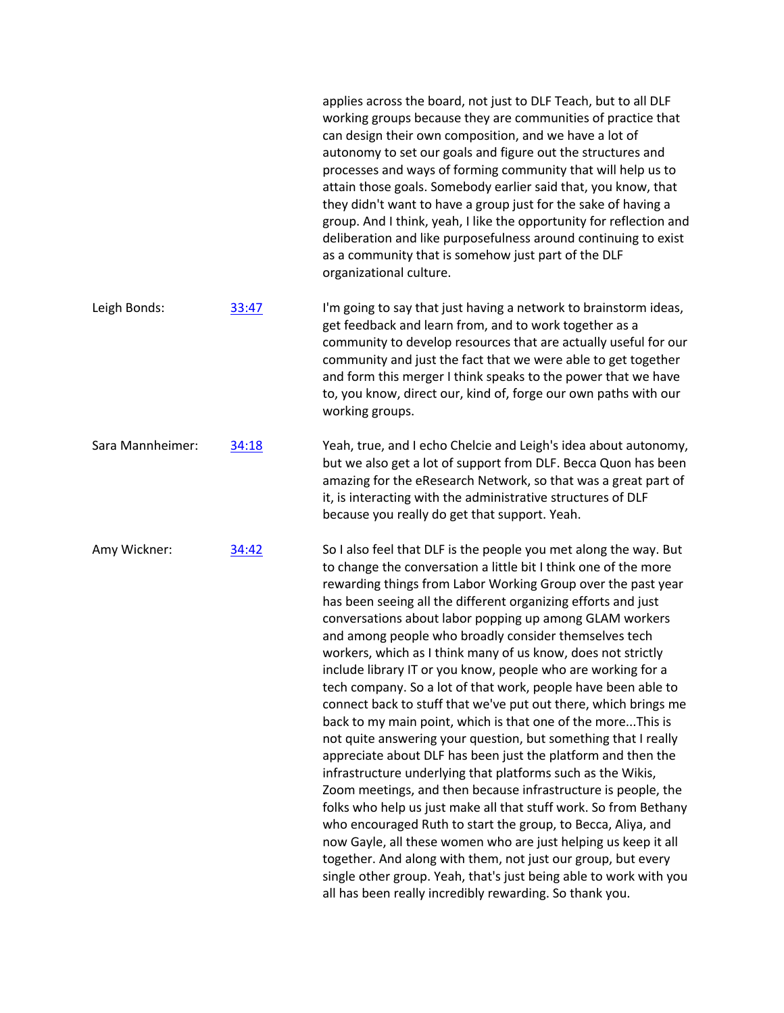|                  |       | can design their own composition, and we have a lot of<br>autonomy to set our goals and figure out the structures and<br>processes and ways of forming community that will help us to<br>attain those goals. Somebody earlier said that, you know, that<br>they didn't want to have a group just for the sake of having a<br>group. And I think, yeah, I like the opportunity for reflection and<br>deliberation and like purposefulness around continuing to exist<br>as a community that is somehow just part of the DLF<br>organizational culture.                                                                                                                                                                                                                                                                                                                                                                                                                                                                                                                                                                                                                                                                                                                                                                                                                                               |
|------------------|-------|-----------------------------------------------------------------------------------------------------------------------------------------------------------------------------------------------------------------------------------------------------------------------------------------------------------------------------------------------------------------------------------------------------------------------------------------------------------------------------------------------------------------------------------------------------------------------------------------------------------------------------------------------------------------------------------------------------------------------------------------------------------------------------------------------------------------------------------------------------------------------------------------------------------------------------------------------------------------------------------------------------------------------------------------------------------------------------------------------------------------------------------------------------------------------------------------------------------------------------------------------------------------------------------------------------------------------------------------------------------------------------------------------------|
| Leigh Bonds:     | 33:47 | I'm going to say that just having a network to brainstorm ideas,<br>get feedback and learn from, and to work together as a<br>community to develop resources that are actually useful for our<br>community and just the fact that we were able to get together<br>and form this merger I think speaks to the power that we have<br>to, you know, direct our, kind of, forge our own paths with our<br>working groups.                                                                                                                                                                                                                                                                                                                                                                                                                                                                                                                                                                                                                                                                                                                                                                                                                                                                                                                                                                               |
| Sara Mannheimer: | 34:18 | Yeah, true, and I echo Chelcie and Leigh's idea about autonomy,<br>but we also get a lot of support from DLF. Becca Quon has been<br>amazing for the eResearch Network, so that was a great part of<br>it, is interacting with the administrative structures of DLF<br>because you really do get that support. Yeah.                                                                                                                                                                                                                                                                                                                                                                                                                                                                                                                                                                                                                                                                                                                                                                                                                                                                                                                                                                                                                                                                                |
| Amy Wickner:     | 34:42 | So I also feel that DLF is the people you met along the way. But<br>to change the conversation a little bit I think one of the more<br>rewarding things from Labor Working Group over the past year<br>has been seeing all the different organizing efforts and just<br>conversations about labor popping up among GLAM workers<br>and among people who broadly consider themselves tech<br>workers, which as I think many of us know, does not strictly<br>include library IT or you know, people who are working for a<br>tech company. So a lot of that work, people have been able to<br>connect back to stuff that we've put out there, which brings me<br>back to my main point, which is that one of the moreThis is<br>not quite answering your question, but something that I really<br>appreciate about DLF has been just the platform and then the<br>infrastructure underlying that platforms such as the Wikis,<br>Zoom meetings, and then because infrastructure is people, the<br>folks who help us just make all that stuff work. So from Bethany<br>who encouraged Ruth to start the group, to Becca, Aliya, and<br>now Gayle, all these women who are just helping us keep it all<br>together. And along with them, not just our group, but every<br>single other group. Yeah, that's just being able to work with you<br>all has been really incredibly rewarding. So thank you. |

applies across the board, not just to DLF Teach, but to all DLF working groups because they are communities of practice that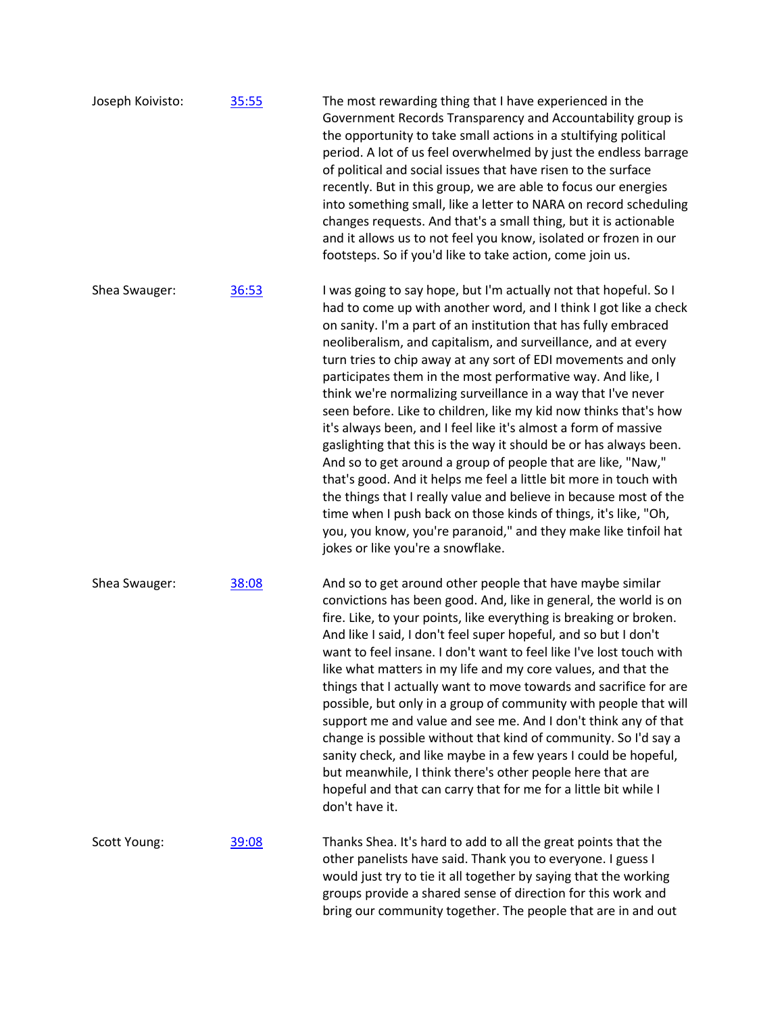| Joseph Koivisto: | 35:55 | The most rewarding thing that I have experienced in the<br>Government Records Transparency and Accountability group is<br>the opportunity to take small actions in a stultifying political<br>period. A lot of us feel overwhelmed by just the endless barrage<br>of political and social issues that have risen to the surface<br>recently. But in this group, we are able to focus our energies<br>into something small, like a letter to NARA on record scheduling<br>changes requests. And that's a small thing, but it is actionable<br>and it allows us to not feel you know, isolated or frozen in our<br>footsteps. So if you'd like to take action, come join us.                                                                                                                                                                                                                                                                                                                                                                                                 |
|------------------|-------|----------------------------------------------------------------------------------------------------------------------------------------------------------------------------------------------------------------------------------------------------------------------------------------------------------------------------------------------------------------------------------------------------------------------------------------------------------------------------------------------------------------------------------------------------------------------------------------------------------------------------------------------------------------------------------------------------------------------------------------------------------------------------------------------------------------------------------------------------------------------------------------------------------------------------------------------------------------------------------------------------------------------------------------------------------------------------|
| Shea Swauger:    | 36:53 | I was going to say hope, but I'm actually not that hopeful. So I<br>had to come up with another word, and I think I got like a check<br>on sanity. I'm a part of an institution that has fully embraced<br>neoliberalism, and capitalism, and surveillance, and at every<br>turn tries to chip away at any sort of EDI movements and only<br>participates them in the most performative way. And like, I<br>think we're normalizing surveillance in a way that I've never<br>seen before. Like to children, like my kid now thinks that's how<br>it's always been, and I feel like it's almost a form of massive<br>gaslighting that this is the way it should be or has always been.<br>And so to get around a group of people that are like, "Naw,"<br>that's good. And it helps me feel a little bit more in touch with<br>the things that I really value and believe in because most of the<br>time when I push back on those kinds of things, it's like, "Oh,<br>you, you know, you're paranoid," and they make like tinfoil hat<br>jokes or like you're a snowflake. |
| Shea Swauger:    | 38:08 | And so to get around other people that have maybe similar<br>convictions has been good. And, like in general, the world is on<br>fire. Like, to your points, like everything is breaking or broken.<br>And like I said, I don't feel super hopeful, and so but I don't<br>want to feel insane. I don't want to feel like I've lost touch with<br>like what matters in my life and my core values, and that the<br>things that I actually want to move towards and sacrifice for are<br>possible, but only in a group of community with people that will<br>support me and value and see me. And I don't think any of that<br>change is possible without that kind of community. So I'd say a<br>sanity check, and like maybe in a few years I could be hopeful,<br>but meanwhile, I think there's other people here that are<br>hopeful and that can carry that for me for a little bit while I<br>don't have it.                                                                                                                                                          |
| Scott Young:     | 39:08 | Thanks Shea. It's hard to add to all the great points that the<br>other panelists have said. Thank you to everyone. I guess I<br>would just try to tie it all together by saying that the working<br>groups provide a shared sense of direction for this work and<br>bring our community together. The people that are in and out                                                                                                                                                                                                                                                                                                                                                                                                                                                                                                                                                                                                                                                                                                                                          |